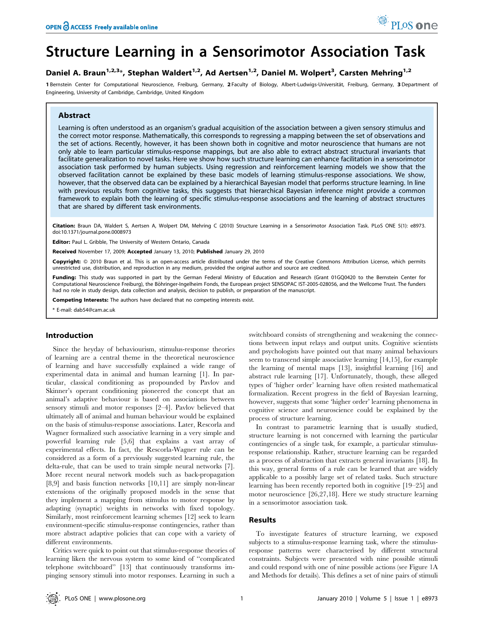# Structure Learning in a Sensorimotor Association Task

# Daniel A. Braun<sup>1,2,3</sup>\*, Stephan Waldert<sup>1,2</sup>, Ad Aertsen<sup>1,2</sup>, Daniel M. Wolpert<sup>3</sup>, Carsten Mehring<sup>1,2</sup>

1 Bernstein Center for Computational Neuroscience, Freiburg, Germany, 2 Faculty of Biology, Albert-Ludwigs-Universität, Freiburg, Germany, 3 Department of Engineering, University of Cambridge, Cambridge, United Kingdom

# Abstract

Learning is often understood as an organism's gradual acquisition of the association between a given sensory stimulus and the correct motor response. Mathematically, this corresponds to regressing a mapping between the set of observations and the set of actions. Recently, however, it has been shown both in cognitive and motor neuroscience that humans are not only able to learn particular stimulus-response mappings, but are also able to extract abstract structural invariants that facilitate generalization to novel tasks. Here we show how such structure learning can enhance facilitation in a sensorimotor association task performed by human subjects. Using regression and reinforcement learning models we show that the observed facilitation cannot be explained by these basic models of learning stimulus-response associations. We show, however, that the observed data can be explained by a hierarchical Bayesian model that performs structure learning. In line with previous results from cognitive tasks, this suggests that hierarchical Bayesian inference might provide a common framework to explain both the learning of specific stimulus-response associations and the learning of abstract structures that are shared by different task environments.

Citation: Braun DA, Waldert S, Aertsen A, Wolpert DM, Mehring C (2010) Structure Learning in a Sensorimotor Association Task. PLoS ONE 5(1): e8973. doi:10.1371/journal.pone.0008973

Editor: Paul L. Gribble, The University of Western Ontario, Canada

Received November 17, 2009; Accepted January 13, 2010; Published January 29, 2010

Copyright: @ 2010 Braun et al. This is an open-access article distributed under the terms of the Creative Commons Attribution License, which permits unrestricted use, distribution, and reproduction in any medium, provided the original author and source are credited.

Funding: This study was supported in part by the German Federal Ministry of Education and Research (Grant 01GQ0420 to the Bernstein Center for Computational Neuroscience Freiburg), the Böhringer-Ingelheim Fonds, the European project SENSOPAC IST-2005-028056, and the Wellcome Trust. The funders had no role in study design, data collection and analysis, decision to publish, or preparation of the manuscript.

Competing Interests: The authors have declared that no competing interests exist.

\* E-mail: dab54@cam.ac.uk

#### Introduction

Since the heyday of behaviourism, stimulus-response theories of learning are a central theme in the theoretical neuroscience of learning and have successfully explained a wide range of experimental data in animal and human learning [1]. In particular, classical conditioning as propounded by Pavlov and Skinner's operant conditioning pioneered the concept that an animal's adaptive behaviour is based on associations between sensory stimuli and motor responses [2–4]. Pavlov believed that ultimately all of animal and human behaviour would be explained on the basis of stimulus-response associations. Later, Rescorla and Wagner formalized such associative learning in a very simple and powerful learning rule [5,6] that explains a vast array of experimental effects. In fact, the Rescorla-Wagner rule can be considered as a form of a previously suggested learning rule, the delta-rule, that can be used to train simple neural networks [7]. More recent neural network models such as back-propagation [8,9] and basis function networks [10,11] are simply non-linear extensions of the originally proposed models in the sense that they implement a mapping from stimulus to motor response by adapting (synaptic) weights in networks with fixed topology. Similarly, most reinforcement learning schemes [12] seek to learn environment-specific stimulus-response contingencies, rather than more abstract adaptive policies that can cope with a variety of different environments.

Critics were quick to point out that stimulus-response theories of learning liken the nervous system to some kind of ''complicated telephone switchboard'' [13] that continuously transforms impinging sensory stimuli into motor responses. Learning in such a

switchboard consists of strengthening and weakening the connections between input relays and output units. Cognitive scientists and psychologists have pointed out that many animal behaviours seem to transcend simple associative learning [14,15], for example the learning of mental maps [13], insightful learning [16] and abstract rule learning [17]. Unfortunately, though, these alleged types of 'higher order' learning have often resisted mathematical formalization. Recent progress in the field of Bayesian learning, however, suggests that some 'higher order' learning phenomena in cognitive science and neuroscience could be explained by the process of structure learning.

In contrast to parametric learning that is usually studied, structure learning is not concerned with learning the particular contingencies of a single task, for example, a particular stimulusresponse relationship. Rather, structure learning can be regarded as a process of abstraction that extracts general invariants [18]. In this way, general forms of a rule can be learned that are widely applicable to a possibly large set of related tasks. Such structure learning has been recently reported both in cognitive [19–25] and motor neuroscience [26,27,18]. Here we study structure learning in a sensorimotor association task.

### Results

To investigate features of structure learning, we exposed subjects to a stimulus-response learning task, where the stimulusresponse patterns were characterised by different structural constraints. Subjects were presented with nine possible stimuli and could respond with one of nine possible actions (see Figure 1A and Methods for details). This defines a set of nine pairs of stimuli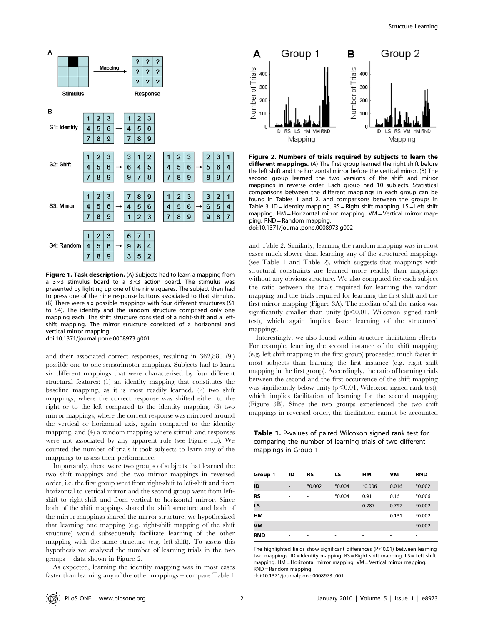

Figure 1. Task description. (A) Subjects had to learn a mapping from a  $3\times3$  stimulus board to a  $3\times3$  action board. The stimulus was presented by lighting up one of the nine squares. The subject then had to press one of the nine response buttons associated to that stimulus. (B) There were six possible mappings with four different structures (S1 to S4). The identity and the random structure comprised only one mapping each. The shift structure consisted of a right-shift and a leftshift mapping. The mirror structure consisted of a horizontal and vertical mirror mapping.

doi:10.1371/journal.pone.0008973.g001

and their associated correct responses, resulting in 362,880 (9!) possible one-to-one sensorimotor mappings. Subjects had to learn six different mappings that were characterised by four different structural features: (1) an identity mapping that constitutes the baseline mapping, as it is most readily learned, (2) two shift mappings, where the correct response was shifted either to the right or to the left compared to the identity mapping, (3) two mirror mappings, where the correct response was mirrored around the vertical or horizontal axis, again compared to the identity mapping, and (4) a random mapping where stimuli and responses were not associated by any apparent rule (see Figure 1B). We counted the number of trials it took subjects to learn any of the mappings to assess their performance.

Importantly, there were two groups of subjects that learned the two shift mappings and the two mirror mappings in reversed order, i.e. the first group went from right-shift to left-shift and from horizontal to vertical mirror and the second group went from leftshift to right-shift and from vertical to horizontal mirror. Since both of the shift mappings shared the shift structure and both of the mirror mappings shared the mirror structure, we hypothesized that learning one mapping (e.g. right-shift mapping of the shift structure) would subsequently facilitate learning of the other mapping with the same structure (e.g. left-shift). To assess this hypothesis we analysed the number of learning trials in the two groups – data shown in Figure 2.

As expected, learning the identity mapping was in most cases faster than learning any of the other mappings – compare Table 1



Figure 2. Numbers of trials required by subjects to learn the different mappings. (A) The first group learned the right shift before the left shift and the horizontal mirror before the vertical mirror. (B) The second group learned the two versions of the shift and mirror mappings in reverse order. Each group had 10 subjects. Statistical comparisons between the different mappings in each group can be found in Tables 1 and 2, and comparisons between the groups in Table 3. ID = Identity mapping.  $RS = Right$  shift mapping.  $LS = Left$  shift mapping. HM = Horizontal mirror mapping. VM = Vertical mirror mapping. RND = Random mapping. doi:10.1371/journal.pone.0008973.g002

and Table 2. Similarly, learning the random mapping was in most cases much slower than learning any of the structured mappings (see Table 1 and Table 2), which suggests that mappings with structural constraints are learned more readily than mappings without any obvious structure. We also computed for each subject the ratio between the trials required for learning the random mapping and the trials required for learning the first shift and the first mirror mapping (Figure 3A). The median of all the ratios was significantly smaller than unity  $(p<0.01$ , Wilcoxon signed rank test), which again implies faster learning of the structured mappings.

Interestingly, we also found within-structure facilitation effects. For example, learning the second instance of the shift mapping (e.g. left shift mapping in the first group) proceeded much faster in most subjects than learning the first instance (e.g. right shift mapping in the first group). Accordingly, the ratio of learning trials between the second and the first occurrence of the shift mapping was significantly below unity  $(p<0.01$ , Wilcoxon signed rank test), which implies facilitation of learning for the second mapping (Figure 3B). Since the two groups experienced the two shift mappings in reversed order, this facilitation cannot be accounted

Table 1. P-values of paired Wilcoxon signed rank test for comparing the number of learning trials of two different mappings in Group 1.

| Group 1    | ID | RS       | LS              | нм                           | vм    | <b>RND</b> |
|------------|----|----------|-----------------|------------------------------|-------|------------|
| ID         | -  | $*0.002$ | $*0.004$        | $*0.006$                     | 0.016 | $*0.002$   |
| <b>RS</b>  | ۰  | ٠        | $*0.004$        | 0.91                         | 0.16  | $*0.006$   |
| <b>LS</b>  | ۰  | -        | ٠               | 0.287                        | 0.797 | $*0.002$   |
| <b>HM</b>  | ۰  | ٠        | ٠               | ٠                            | 0.131 | $*0.002$   |
| <b>VM</b>  |    | ٠        | $\qquad \qquad$ | $\qquad \qquad \blacksquare$ |       | $*0.002$   |
| <b>RND</b> | ۰  | ۰        | ۰               | ۰                            | ۰     | ۰          |

The highlighted fields show significant differences ( $P < 0.01$ ) between learning two mappings. ID = Identity mapping. RS = Right shift mapping. LS = Left shift mapping. HM = Horizontal mirror mapping. VM = Vertical mirror mapping. RND = Random mapping.

doi:10.1371/journal.pone.0008973.t001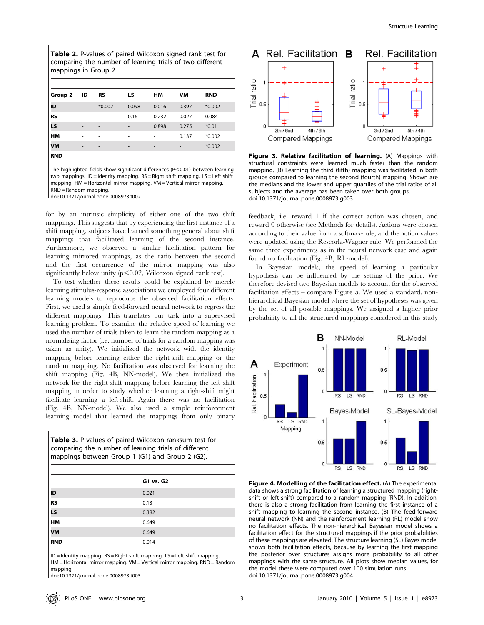Table 2. P-values of paired Wilcoxon signed rank test for comparing the number of learning trials of two different mappings in Group 2.

| Group 2    | ID | RS             | LS                       | HМ                           | VM    | <b>RND</b> |  |
|------------|----|----------------|--------------------------|------------------------------|-------|------------|--|
| ID         |    | $*0.002$       | 0.098                    | 0.016                        | 0.397 | $*0.002$   |  |
| <b>RS</b>  |    | -              | 0.16                     | 0.232                        | 0.027 | 0.084      |  |
| LS         |    |                | $\overline{\phantom{a}}$ | 0.898                        | 0.275 | $*0.01$    |  |
| <b>HM</b>  | ٠  | $\overline{a}$ | ٠                        | ۰                            | 0.137 | $*0.002$   |  |
| <b>VM</b>  |    |                | ٠                        | $\qquad \qquad \blacksquare$ | ۰     | $*0.002$   |  |
| <b>RND</b> | ۰  | ۰              | ۰                        | ۰                            | ۰     | ۰          |  |

The highlighted fields show significant differences (P $<$ 0.01) between learning two mappings. ID = Identity mapping. RS = Right shift mapping. LS = Left shift mapping. HM = Horizontal mirror mapping. VM = Vertical mirror mapping. RND = Random mapping.

doi:10.1371/journal.pone.0008973.t002

for by an intrinsic simplicity of either one of the two shift mappings. This suggests that by experiencing the first instance of a shift mapping, subjects have learned something general about shift mappings that facilitated learning of the second instance. Furthermore, we observed a similar facilitation pattern for learning mirrored mappings, as the ratio between the second and the first occurrence of the mirror mapping was also significantly below unity  $(p<0.02$ , Wilcoxon signed rank test).

To test whether these results could be explained by merely learning stimulus-response associations we employed four different learning models to reproduce the observed facilitation effects. First, we used a simple feed-forward neural network to regress the different mappings. This translates our task into a supervised learning problem. To examine the relative speed of learning we used the number of trials taken to learn the random mapping as a normalising factor (i.e. number of trials for a random mapping was taken as unity). We initialized the network with the identity mapping before learning either the right-shift mapping or the random mapping. No facilitation was observed for learning the shift mapping (Fig. 4B, NN-model). We then initialized the network for the right-shift mapping before learning the left shift mapping in order to study whether learning a right-shift might facilitate learning a left-shift. Again there was no facilitation (Fig. 4B, NN-model). We also used a simple reinforcement learning model that learned the mappings from only binary

| Table 3. P-values of paired Wilcoxon ranksum test for |
|-------------------------------------------------------|
| comparing the number of learning trials of different  |
| mappings between Group 1 (G1) and Group 2 (G2).       |

|            | G1 vs. G2 |  |
|------------|-----------|--|
| ID         | 0.021     |  |
| RS<br>LS   | 0.13      |  |
|            | 0.382     |  |
| нм         | 0.649     |  |
| <b>VM</b>  | 0.649     |  |
| <b>RND</b> | 0.014     |  |
|            |           |  |

ID = Identity mapping. RS = Right shift mapping. LS = Left shift mapping. HM = Horizontal mirror mapping. VM = Vertical mirror mapping. RND = Random mapping. doi:10.1371/journal.pone.0008973.t003



Figure 3. Relative facilitation of learning. (A) Mappings with structural constraints were learned much faster than the random mapping. (B) Learning the third (fifth) mapping was facilitated in both groups compared to learning the second (fourth) mapping. Shown are the medians and the lower and upper quartiles of the trial ratios of all subjects and the average has been taken over both groups. doi:10.1371/journal.pone.0008973.g003

feedback, i.e. reward 1 if the correct action was chosen, and reward 0 otherwise (see Methods for details). Actions were chosen according to their value from a softmax-rule, and the action values were updated using the Rescorla-Wagner rule. We performed the same three experiments as in the neural network case and again found no facilitation (Fig. 4B, RL-model).

In Bayesian models, the speed of learning a particular hypothesis can be influenced by the setting of the prior. We therefore devised two Bayesian models to account for the observed facilitation effects – compare Figure 5. We used a standard, nonhierarchical Bayesian model where the set of hypotheses was given by the set of all possible mappings. We assigned a higher prior probability to all the structured mappings considered in this study



Figure 4. Modelling of the facilitation effect. (A) The experimental data shows a strong facilitation of learning a structured mapping (rightshift or left-shift) compared to a random mapping (RND). In addition, there is also a strong facilitation from learning the first instance of a shift mapping to learning the second instance. (B) The feed-forward neural network (NN) and the reinforcement learning (RL) model show no facilitation effects. The non-hierarchical Bayesian model shows a facilitation effect for the structured mappings if the prior probabilities of these mappings are elevated. The structure learning (SL) Bayes model shows both facilitation effects, because by learning the first mapping the posterior over structures assigns more probability to all other mappings with the same structure. All plots show median values, for the model these were computed over 100 simulation runs. doi:10.1371/journal.pone.0008973.g004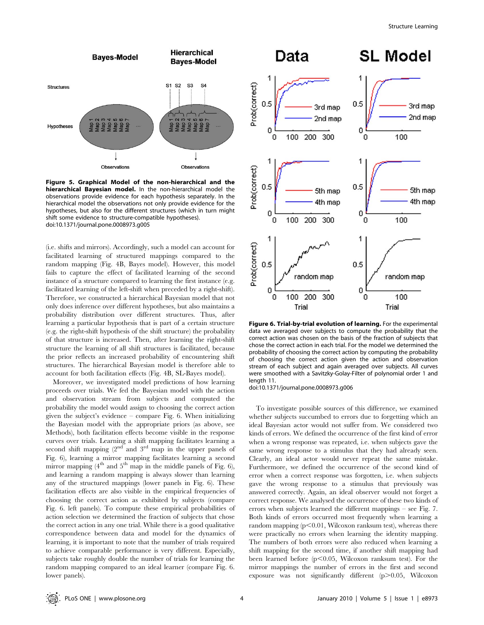

Figure 5. Graphical Model of the non-hierarchical and the hierarchical Bayesian model. In the non-hierarchical model the observations provide evidence for each hypothesis separately. In the hierarchical model the observations not only provide evidence for the hypotheses, but also for the different structures (which in turn might shift some evidence to structure-compatible hypotheses). doi:10.1371/journal.pone.0008973.g005

(i.e. shifts and mirrors). Accordingly, such a model can account for facilitated learning of structured mappings compared to the random mapping (Fig. 4B, Bayes model). However, this model fails to capture the effect of facilitated learning of the second instance of a structure compared to learning the first instance (e.g. facilitated learning of the left-shift when preceded by a right-shift). Therefore, we constructed a hierarchical Bayesian model that not only does inference over different hypotheses, but also maintains a probability distribution over different structures. Thus, after learning a particular hypothesis that is part of a certain structure (e.g. the right-shift hypothesis of the shift structure) the probability of that structure is increased. Then, after learning the right-shift structure the learning of all shift structures is facilitated, because the prior reflects an increased probability of encountering shift structures. The hierarchical Bayesian model is therefore able to account for both facilitation effects (Fig. 4B, SL-Bayes model).

Moreover, we investigated model predictions of how learning proceeds over trials. We fed the Bayesian model with the action and observation stream from subjects and computed the probability the model would assign to choosing the correct action given the subject's evidence – compare Fig.  $6$ . When initializing the Bayesian model with the appropriate priors (as above, see Methods), both facilitation effects become visible in the response curves over trials. Learning a shift mapping facilitates learning a second shift mapping  $(2^{nd}$  and  $3^{rd}$  map in the upper panels of Fig. 6), learning a mirror mapping facilitates learning a second mirror mapping  $(4<sup>th</sup>$  and  $5<sup>th</sup>$  map in the middle panels of Fig. 6), and learning a random mapping is always slower than learning any of the structured mappings (lower panels in Fig. 6). These facilitation effects are also visible in the empirical frequencies of choosing the correct action as exhibited by subjects (compare Fig. 6. left panels). To compute these empirical probabilities of action selection we determined the fraction of subjects that chose the correct action in any one trial. While there is a good qualitative correspondence between data and model for the dynamics of learning, it is important to note that the number of trials required to achieve comparable performance is very different. Especially, subjects take roughly double the number of trials for learning the random mapping compared to an ideal learner (compare Fig. 6. lower panels).



Figure 6. Trial-by-trial evolution of learning. For the experimental data we averaged over subjects to compute the probability that the correct action was chosen on the basis of the fraction of subjects that chose the correct action in each trial. For the model we determined the probability of choosing the correct action by computing the probability of choosing the correct action given the action and observation stream of each subject and again averaged over subjects. All curves were smoothed with a Savitzky-Golay-Filter of polynomial order 1 and length 11.

doi:10.1371/journal.pone.0008973.g006

To investigate possible sources of this difference, we examined whether subjects succumbed to errors due to forgetting which an ideal Bayesian actor would not suffer from. We considered two kinds of errors. We defined the occurrence of the first kind of error when a wrong response was repeated, i.e. when subjects gave the same wrong response to a stimulus that they had already seen. Clearly, an ideal actor would never repeat the same mistake. Furthermore, we defined the occurrence of the second kind of error when a correct response was forgotten, i.e. when subjects gave the wrong response to a stimulus that previously was answered correctly. Again, an ideal observer would not forget a correct response. We analysed the occurrence of these two kinds of errors when subjects learned the different mappings – see Fig. 7. Both kinds of errors occurred most frequently when learning a random mapping  $(p<0.01$ , Wilcoxon ranksum test), whereas there were practically no errors when learning the identity mapping. The numbers of both errors were also reduced when learning a shift mapping for the second time, if another shift mapping had been learned before ( $p<0.05$ , Wilcoxon ranksum test). For the mirror mappings the number of errors in the first and second exposure was not significantly different (p>0.05, Wilcoxon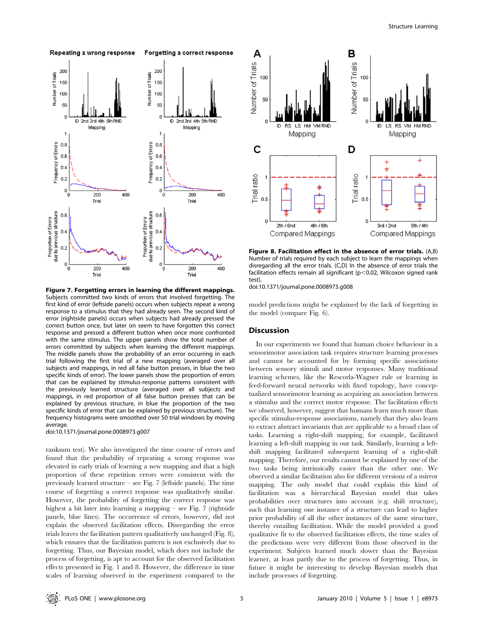

Figure 7. Forgetting errors in learning the different mappings. Subjects committed two kinds of errors that involved forgetting. The first kind of error (leftside panels) occurs when subjects repeat a wrong response to a stimulus that they had already seen. The second kind of error (rightside panels) occurs when subjects had already pressed the correct button once, but later on seem to have forgotten this correct response and pressed a different button when once more confronted with the same stimulus. The upper panels show the total number of errors committed by subjects when learning the different mappings. The middle panels show the probability of an error occurring in each trial following the first trial of a new mapping (averaged over all subjects and mappings, in red all false button presses, in blue the two specific kinds of error). The lower panels show the proportion of errors that can be explained by stimulus-response patterns consistent with the previously learned structure (averaged over all subjects and mappings, in red proportion of all false button presses that can be explained by previous structure, in blue the proportion of the two specific kinds of error that can be explained by previous structure). The frequency histograms were smoothed over 50 trial windows by moving average.

doi:10.1371/journal.pone.0008973.g007

ranksum test). We also investigated the time course of errors and found that the probability of repeating a wrong response was elevated in early trials of learning a new mapping and that a high proportion of these repetition errors were consistent with the previously learned structure – see Fig. 7 (leftside panels). The time course of forgetting a correct response was qualitatively similar. However, the probability of forgetting the correct response was highest a bit later into learning a mapping – see Fig. 7 (rightside panels, blue lines). The occurrence of errors, however, did not explain the observed facilitation effects. Disregarding the error trials leaves the facilitation pattern qualitatively unchanged (Fig. 8), which ensures that the facilitation pattern is not exclusively due to forgetting. Thus, our Bayesian model, which does not include the process of forgetting, is apt to account for the observed facilitation effects presented in Fig. 1 and 8. However, the difference in time scales of learning observed in the experiment compared to the



Figure 8. Facilitation effect in the absence of error trials. (A,B) Number of trials required by each subject to learn the mappings when disregarding all the error trials. (C,D) In the absence of error trials the facilitation effects remain all significant ( $p$ <0.02, Wilcoxon signed rank test).

doi:10.1371/journal.pone.0008973.g008

model predictions might be explained by the lack of forgetting in the model (compare Fig. 6).

# Discussion

In our experiments we found that human choice behaviour in a sensorimotor association task requires structure learning processes and cannot be accounted for by forming specific associations between sensory stimuli and motor responses. Many traditional learning schemes, like the Rescorla-Wagner rule or learning in feed-forward neural networks with fixed topology, have conceptualized sensorimotor learning as acquiring an association between a stimulus and the correct motor response. The facilitation effects we observed, however, suggest that humans learn much more than specific stimulus-response associations, namely that they also learn to extract abstract invariants that are applicable to a broad class of tasks. Learning a right-shift mapping, for example, facilitated learning a left-shift mapping in our task. Similarly, learning a leftshift mapping facilitated subsequent learning of a right-shift mapping. Therefore, our results cannot be explained by one of the two tasks being intrinsically easier than the other one. We observed a similar facilitation also for different versions of a mirror mapping. The only model that could explain this kind of facilitation was a hierarchical Bayesian model that takes probabilities over structures into account (e.g. shift structure), such that learning one instance of a structure can lead to higher prior probability of all the other instances of the same structure, thereby entailing facilitation. While the model provided a good qualitative fit to the observed facilitation effects, the time scales of the predictions were very different from those observed in the experiment. Subjects learned much slower than the Bayesian learner, at least partly due to the process of forgetting. Thus, in future it might be interesting to develop Bayesian models that include processes of forgetting.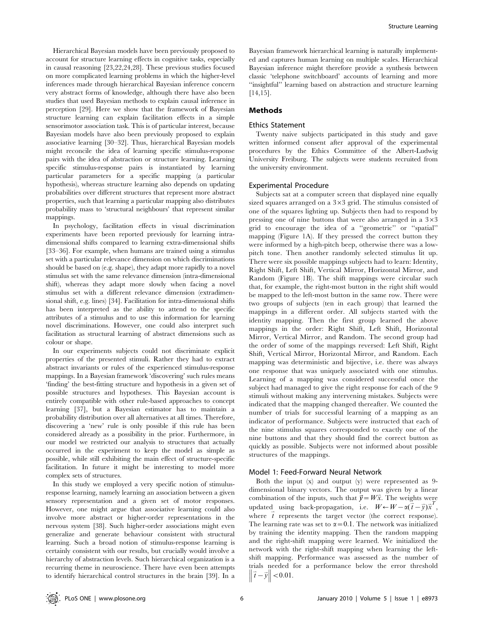Hierarchical Bayesian models have been previously proposed to account for structure learning effects in cognitive tasks, especially in causal reasoning [23,22,24,28]. These previous studies focused on more complicated learning problems in which the higher-level inferences made through hierarchical Bayesian inference concern very abstract forms of knowledge, although there have also been studies that used Bayesian methods to explain causal inference in perception [29]. Here we show that the framework of Bayesian structure learning can explain facilitation effects in a simple sensorimotor association task. This is of particular interest, because Bayesian models have also been previously proposed to explain associative learning [30–32]. Thus, hierarchical Bayesian models might reconcile the idea of learning specific stimulus-response pairs with the idea of abstraction or structure learning. Learning specific stimulus-response pairs is instantiated by learning particular parameters for a specific mapping (a particular hypothesis), whereas structure learning also depends on updating probabilities over different structures that represent more abstract properties, such that learning a particular mapping also distributes probability mass to 'structural neighbours' that represent similar mappings.

In psychology, facilitation effects in visual discrimination experiments have been reported previously for learning intradimensional shifts compared to learning extra-dimensional shifts [33–36]. For example, when humans are trained using a stimulus set with a particular relevance dimension on which discriminations should be based on (e.g. shape), they adapt more rapidly to a novel stimulus set with the same relevance dimension (intra-dimensional shift), whereas they adapt more slowly when facing a novel stimulus set with a different relevance dimension (extradimensional shift, e.g. lines) [34]. Facilitation for intra-dimensional shifts has been interpreted as the ability to attend to the specific attributes of a stimulus and to use this information for learning novel discriminations. However, one could also interpret such facilitation as structural learning of abstract dimensions such as colour or shape.

In our experiments subjects could not discriminate explicit properties of the presented stimuli. Rather they had to extract abstract invariants or rules of the experienced stimulus-response mappings. In a Bayesian framework 'discovering' such rules means 'finding' the best-fitting structure and hypothesis in a given set of possible structures and hypotheses. This Bayesian account is entirely compatible with other rule-based approaches to concept learning [37], but a Bayesian estimator has to maintain a probability distribution over all alternatives at all times. Therefore, discovering a 'new' rule is only possible if this rule has been considered already as a possibility in the prior. Furthermore, in our model we restricted our analysis to structures that actually occurred in the experiment to keep the model as simple as possible, while still exhibiting the main effect of structure-specific facilitation. In future it might be interesting to model more complex sets of structures.

In this study we employed a very specific notion of stimulusresponse learning, namely learning an association between a given sensory representation and a given set of motor responses. However, one might argue that associative learning could also involve more abstract or higher-order representations in the nervous system [38]. Such higher-order associations might even generalize and generate behaviour consistent with structural learning. Such a broad notion of stimulus-response learning is certainly consistent with our results, but crucially would involve a hierarchy of abstraction levels. Such hierarchical organization is a recurring theme in neuroscience. There have even been attempts to identify hierarchical control structures in the brain [39]. In a

Bayesian framework hierarchical learning is naturally implemented and captures human learning on multiple scales. Hierarchical Bayesian inference might therefore provide a synthesis between classic 'telephone switchboard' accounts of learning and more ''insightful'' learning based on abstraction and structure learning [14,15].

# Methods

#### Ethics Statement

Twenty naive subjects participated in this study and gave written informed consent after approval of the experimental procedures by the Ethics Committee of the Albert-Ludwig University Freiburg. The subjects were students recruited from the university environment.

# Experimental Procedure

Subjects sat at a computer screen that displayed nine equally sized squares arranged on a  $3\times3$  grid. The stimulus consisted of one of the squares lighting up. Subjects then had to respond by pressing one of nine buttons that were also arranged in a  $3\times3$ grid to encourage the idea of a ''geometric'' or ''spatial'' mapping (Figure 1A). If they pressed the correct button they were informed by a high-pitch beep, otherwise there was a lowpitch tone. Then another randomly selected stimulus lit up. There were six possible mappings subjects had to learn: Identity, Right Shift, Left Shift, Vertical Mirror, Horizontal Mirror, and Random (Figure 1B). The shift mappings were circular such that, for example, the right-most button in the right shift would be mapped to the left-most button in the same row. There were two groups of subjects (ten in each group) that learned the mappings in a different order. All subjects started with the identity mapping. Then the first group learned the above mappings in the order: Right Shift, Left Shift, Horizontal Mirror, Vertical Mirror, and Random. The second group had the order of some of the mappings reversed: Left Shift, Right Shift, Vertical Mirror, Horizontal Mirror, and Random. Each mapping was deterministic and bijective, i.e. there was always one response that was uniquely associated with one stimulus. Learning of a mapping was considered successful once the subject had managed to give the right response for each of the 9 stimuli without making any intervening mistakes. Subjects were indicated that the mapping changed thereafter. We counted the number of trials for successful learning of a mapping as an indicator of performance. Subjects were instructed that each of the nine stimulus squares corresponded to exactly one of the nine buttons and that they should find the correct button as quickly as possible. Subjects were not informed about possible structures of the mappings.

#### Model 1: Feed-Forward Neural Network

Both the input  $(x)$  and output  $(y)$  were represented as 9dimensional binary vectors. The output was given by a linear combination of the inputs, such that  $\vec{y} = W\hat{x}$ . The weights were updated using back-propagation, i.e.  $W \leftarrow W - \alpha (\vec{t} - \vec{y}) \vec{x}^T$ , where  $\vec{t}$  represents the target vector (the correct response). The learning rate was set to  $\alpha$  = 0.1. The network was initialized by training the identity mapping. Then the random mapping and the right-shift mapping were learned. We initialized the network with the right-shift mapping when learning the leftshift mapping. Performance was assessed as the number of trials needed for a performance below the error threshold  $\left\|\vec{t}-\vec{y}\right\|$  $\leq 0.01$ .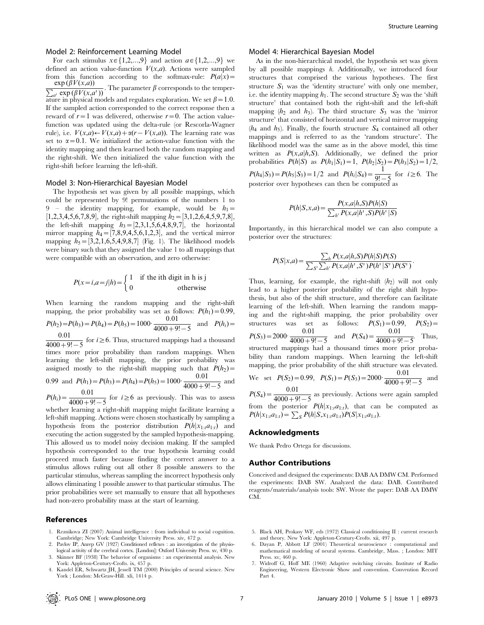#### Model 2: Reinforcement Learning Model

For each stimulus  $x \in \{1,2,...,9\}$  and action  $a \in \{1,2,...,9\}$  we defined an action value-function  $V(x,a)$ . Actions were sampled from this function according to the softmax-rule:  $P(a|x) = \exp(\beta V(x,a))$  $\sum_{a'} \exp(\beta V(x,a))$ . The parameter  $\beta$  corresponds to the temperature in physical models and regulates exploration. We set  $\beta = 1.0$ . If the sampled action corresponded to the correct response then a reward of  $r=1$  was delivered, otherwise  $r=0$ . The action valuefunction was updated using the delta-rule (or Rescorla-Wagner rule), i.e.  $V(x,a) \leftarrow V(x,a) + \alpha(r-V(x,a))$ . The learning rate was set to  $\alpha=0.1$ . We initialized the action-value function with the identity mapping and then learned both the random mapping and the right-shift. We then initialized the value function with the right-shift before learning the left-shift.

#### Model 3: Non-Hierarchical Bayesian Model

The hypothesis set was given by all possible mappings, which could be represented by 9! permutations of the numbers 1 to 9 – the identity mapping, for example, would be  $h_1=$  $[1,2,3,4,5,6,7,8,9]$ , the right-shift mapping  $h_2=[3,1,2,6,4,5,9,7,8]$ , the left-shift mapping  $h_3=[2,3,1,5,6,4,8,9,7]$ , the horizontal mirror mapping  $h_4=[7,8,9,4,5,6,1,2,3]$ , and the vertical mirror mapping  $h_5=[3,2,1,6,5,4,9,8,7]$  (Fig. 1). The likelihood models were binary such that they assigned the value 1 to all mappings that were compatible with an observation, and zero otherwise:

$$
P(x=i, a=j|h) = \begin{cases} 1 & \text{if the ith digit in h is j} \\ 0 & \text{otherwise} \end{cases}
$$

When learning the random mapping and the right-shift mapping, the prior probability was set as follows:  $P(h_1)=0.99$ ,  $P(h_2) = P(h_3) = P(h_4) = P(h_5) = 1000 \cdot \frac{0.01}{4000 + 9! - 5}$  and  $P(h_i) =$ 

 $\frac{0.01}{4000+9!-5}$  for  $i \ge 6$ . Thus, structured mappings had a thousand times more prior probability than random mappings. When learning the left-shift mapping, the prior probability was assigned mostly to the right-shift mapping such that  $P(h_2)$  = 0.99 and  $P(h_1) = P(h_3) = P(h_4) = P(h_5) = 1000 \cdot \frac{0.01}{4000 + 9! - 5}$  and  $P(h_i) = \frac{0.01}{4000 + 9! - 5}$  for  $i \ge 6$  as previously. This was to assess

whether learning a right-shift mapping might facilitate learning a left-shift mapping. Actions were chosen stochastically by sampling a hypothesis from the posterior distribution  $P(h|x_{1:t}a_{1:t})$  and executing the action suggested by the sampled hypothesis-mapping. This allowed us to model noisy decision making. If the sampled hypothesis corresponded to the true hypothesis learning could proceed much faster because finding the correct answer to a stimulus allows ruling out all other 8 possible answers to the particular stimulus, whereas sampling the incorrect hypothesis only allows eliminating 1 possible answer to that particular stimulus. The prior probabilities were set manually to ensure that all hypotheses had non-zero probability mass at the start of learning.

#### References

- 1. Reznikova ZI (2007) Animal intelligence : from individual to social cognition. Cambridge; New York: Cambridge University Press. xiv, 472 p.
- 2. Pavlov IP, Anrep GV (1927) Conditioned reflexes : an investigation of the physiological activity of the cerebral cortex. [London]: Oxford University Press. xv, 430 p.
- 3. Skinner BF (1938) The behavior of organisms : an experimental analysis. New York: Appleton-Century-Crofts. ix, 457 p.
- 4. Kandel ER, Schwartz JH, Jessell TM (2000) Principles of neural science. New York ; London: McGraw-Hill. xli, 1414 p.

#### Model 4: Hierarchical Bayesian Model

As in the non-hierarchical model, the hypothesis set was given by all possible mappings  $h$ . Additionally, we introduced four structures that comprised the various hypotheses. The first structure  $S_1$  was the 'identity structure' with only one member, i.e. the identity mapping  $h_1$ . The second structure  $S_2$  was the 'shift structure' that contained both the right-shift and the left-shift mapping  $(h_2 \text{ and } h_3)$ . The third structure  $S_3$  was the 'mirror structure' that consisted of horizontal and vertical mirror mapping  $(h_4 \text{ and } h_5)$ . Finally, the fourth structure  $S_4$  contained all other mappings and is referred to as the 'random structure'. The likelihood model was the same as in the above model, this time written as  $P(x,a|h,S)$ . Additionally, we defined the prior probabilities  $P(h|S)$  as  $P(h_1|S_1)=1$ ,  $P(h_2|S_2)=P(h_3|S_2)=1/2$ ,  $P(h_4|S_3) = P(h_5|S_3) = 1/2$  and  $P(h_i|S_4) = \frac{1}{9!-5}$  for  $i \ge 6$ . The posterior over hypotheses can then be computed as

$$
P(h|S,x,a) = \frac{P(x,a|h,S)P(h|S)}{\sum_{h'} P(x,a|h',S)P(h'|S)}
$$

Importantly, in this hierarchical model we can also compute a posterior over the structures:

$$
P(S|x,a) = \frac{\sum_{h} P(x,a|h,S)P(h|S)P(S)}{\sum_{S'} \sum_{h'} P(x,a|h',S')P(h'|S')P(S')}.
$$

Thus, learning, for example, the right-shift  $(h_2)$  will not only lead to a higher posterior probability of the right shift hypothesis, but also of the shift structure, and therefore can facilitate learning of the left-shift. When learning the random mapping and the right-shift mapping, the prior probability over structures was set as follows:  $P(S_1)=0.99$ ,  $P(S_2)$  $P(S_3) = 2000 \cdot \frac{0.01}{4000 + 9! - 5}$  and  $P(S_4) = \frac{0.01}{4000 + 9! - 5}$ . Thus, structured mappings had a thousand times more prior probability than random mappings. When learning the left-shift mapping, the prior probability of the shift structure was elevated. We set  $P(S_2) = 0.99$ ,  $P(S_1) = P(S_3) = 2000 \cdot \frac{0.01}{4000 + 9! - 5}$  and  $P(S_4) = \frac{0.01}{4000 + 9! - 5}$  as previously. Actions were again sampled from the posterior  $P(h|x_{1:t}a_{1:t})$ , that can be computed as  $P(h|x_{1:t}a_{1:t}) = \sum_{S} P(h|S,x_{1:t}a_{1:t})P(S|x_{1:t}a_{1:t}).$ 

#### Acknowledgments

We thank Pedro Ortega for discussions.

#### Author Contributions

Conceived and designed the experiments: DAB AA DMW CM. Performed the experiments: DAB SW. Analyzed the data: DAB. Contributed reagents/materials/analysis tools: SW. Wrote the paper: DAB AA DMW CM.

- 5. Black AH, Prokasy WF, eds (1972) Classical conditioning II : current research and theory. New York: Appleton-Century-Crofts. xii, 497 p.
- 6. Dayan P, Abbott LF (2001) Theoretical neuroscience : computational and mathematical modeling of neural systems. Cambridge, Mass. ; London: MIT Press. xv, 460 p.
- 7. Widroff G, Hoff ME (1960) Adaptive switching circuits. Institute of Radio Engineering, Western Electronic Show and convention. Convention Record Part 4.